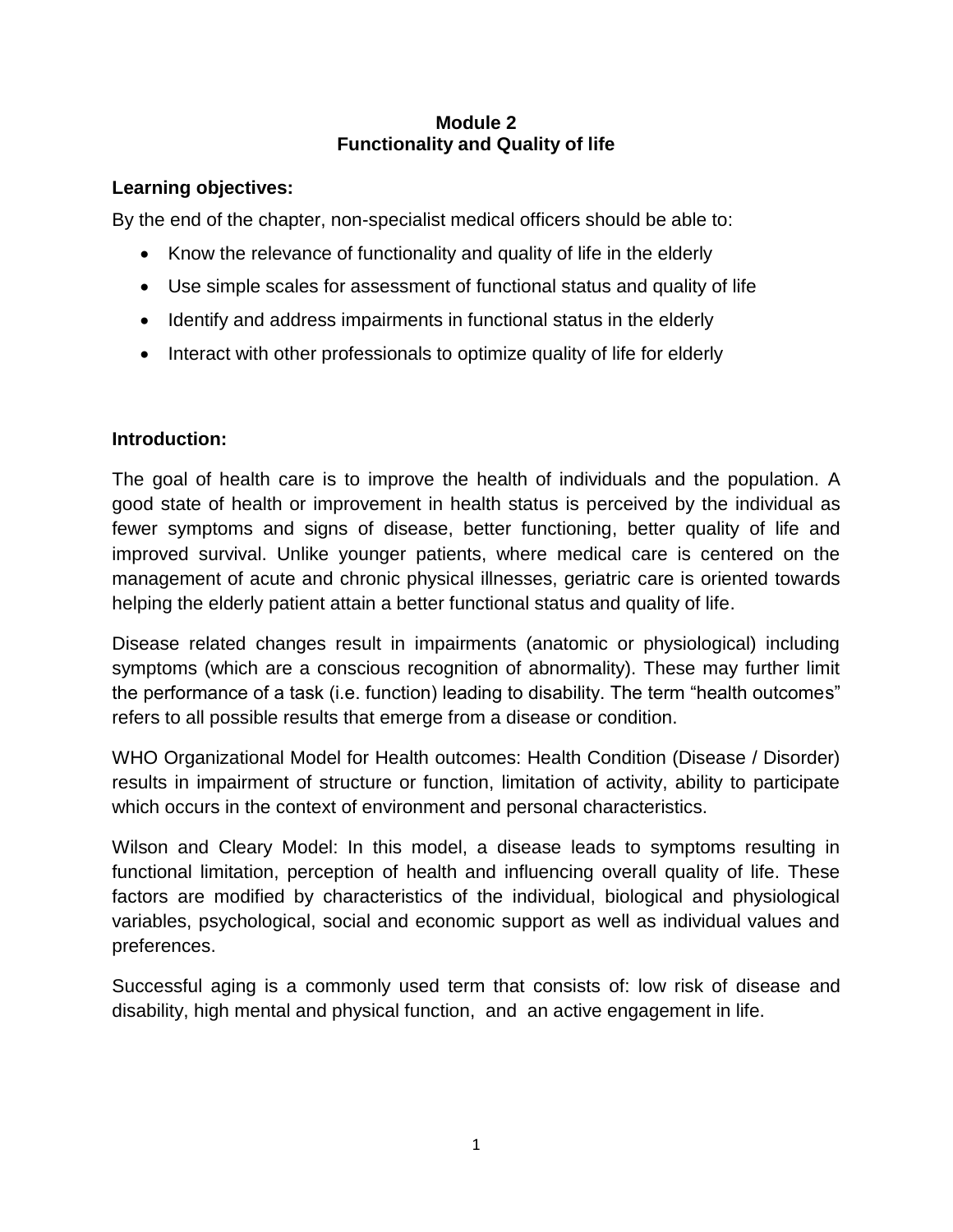### **Module 2 Functionality and Quality of life**

# **Learning objectives:**

By the end of the chapter, non-specialist medical officers should be able to:

- Know the relevance of functionality and quality of life in the elderly
- Use simple scales for assessment of functional status and quality of life
- Identify and address impairments in functional status in the elderly
- Interact with other professionals to optimize quality of life for elderly

# **Introduction:**

The goal of health care is to improve the health of individuals and the population. A good state of health or improvement in health status is perceived by the individual as fewer symptoms and signs of disease, better functioning, better quality of life and improved survival. Unlike younger patients, where medical care is centered on the management of acute and chronic physical illnesses, geriatric care is oriented towards helping the elderly patient attain a better functional status and quality of life.

Disease related changes result in impairments (anatomic or physiological) including symptoms (which are a conscious recognition of abnormality). These may further limit the performance of a task (i.e. function) leading to disability. The term "health outcomes" refers to all possible results that emerge from a disease or condition.

WHO Organizational Model for Health outcomes: Health Condition (Disease / Disorder) results in impairment of structure or function, limitation of activity, ability to participate which occurs in the context of environment and personal characteristics.

Wilson and Cleary Model: In this model, a disease leads to symptoms resulting in functional limitation, perception of health and influencing overall quality of life. These factors are modified by characteristics of the individual, biological and physiological variables, psychological, social and economic support as well as individual values and preferences.

Successful aging is a commonly used term that consists of: low risk of disease and disability, high mental and physical function, and an active engagement in life.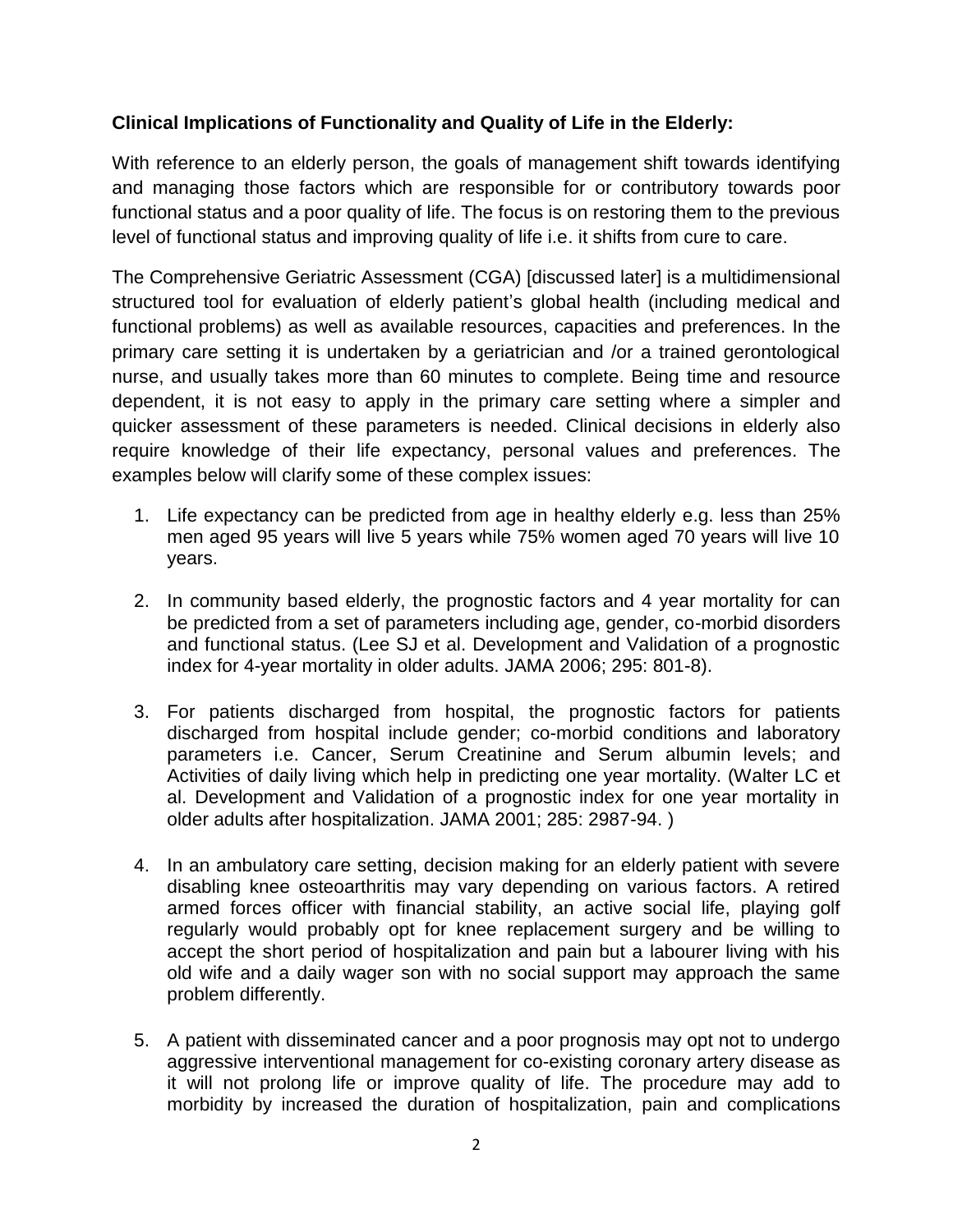### **Clinical Implications of Functionality and Quality of Life in the Elderly:**

With reference to an elderly person, the goals of management shift towards identifying and managing those factors which are responsible for or contributory towards poor functional status and a poor quality of life. The focus is on restoring them to the previous level of functional status and improving quality of life i.e. it shifts from cure to care.

The Comprehensive Geriatric Assessment (CGA) [discussed later] is a multidimensional structured tool for evaluation of elderly patient's global health (including medical and functional problems) as well as available resources, capacities and preferences. In the primary care setting it is undertaken by a geriatrician and /or a trained gerontological nurse, and usually takes more than 60 minutes to complete. Being time and resource dependent, it is not easy to apply in the primary care setting where a simpler and quicker assessment of these parameters is needed. Clinical decisions in elderly also require knowledge of their life expectancy, personal values and preferences. The examples below will clarify some of these complex issues:

- 1. Life expectancy can be predicted from age in healthy elderly e.g. less than 25% men aged 95 years will live 5 years while 75% women aged 70 years will live 10 years.
- 2. In community based elderly, the prognostic factors and 4 year mortality for can be predicted from a set of parameters including age, gender, co-morbid disorders and functional status. (Lee SJ et al. Development and Validation of a prognostic index for 4-year mortality in older adults. JAMA 2006; 295: 801-8).
- 3. For patients discharged from hospital, the prognostic factors for patients discharged from hospital include gender; co-morbid conditions and laboratory parameters i.e. Cancer, Serum Creatinine and Serum albumin levels; and Activities of daily living which help in predicting one year mortality. (Walter LC et al. Development and Validation of a prognostic index for one year mortality in older adults after hospitalization. JAMA 2001; 285: 2987-94. )
- 4. In an ambulatory care setting, decision making for an elderly patient with severe disabling knee osteoarthritis may vary depending on various factors. A retired armed forces officer with financial stability, an active social life, playing golf regularly would probably opt for knee replacement surgery and be willing to accept the short period of hospitalization and pain but a labourer living with his old wife and a daily wager son with no social support may approach the same problem differently.
- 5. A patient with disseminated cancer and a poor prognosis may opt not to undergo aggressive interventional management for co-existing coronary artery disease as it will not prolong life or improve quality of life. The procedure may add to morbidity by increased the duration of hospitalization, pain and complications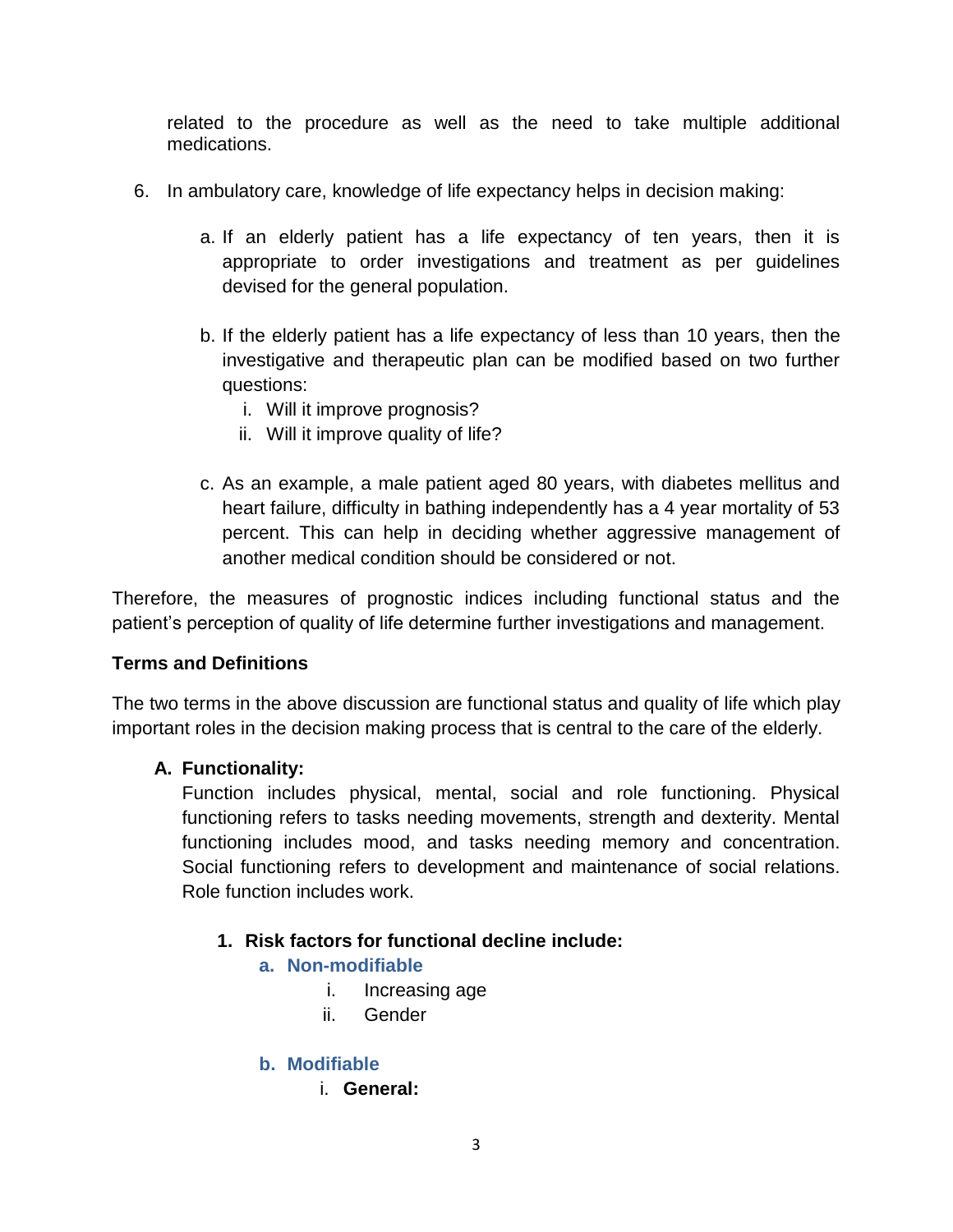related to the procedure as well as the need to take multiple additional medications.

- 6. In ambulatory care, knowledge of life expectancy helps in decision making:
	- a. If an elderly patient has a life expectancy of ten years, then it is appropriate to order investigations and treatment as per guidelines devised for the general population.
	- b. If the elderly patient has a life expectancy of less than 10 years, then the investigative and therapeutic plan can be modified based on two further questions:
		- i. Will it improve prognosis?
		- ii. Will it improve quality of life?
	- c. As an example, a male patient aged 80 years, with diabetes mellitus and heart failure, difficulty in bathing independently has a 4 year mortality of 53 percent. This can help in deciding whether aggressive management of another medical condition should be considered or not.

Therefore, the measures of prognostic indices including functional status and the patient's perception of quality of life determine further investigations and management.

# **Terms and Definitions**

The two terms in the above discussion are functional status and quality of life which play important roles in the decision making process that is central to the care of the elderly.

# **A. Functionality:**

Function includes physical, mental, social and role functioning. Physical functioning refers to tasks needing movements, strength and dexterity. Mental functioning includes mood, and tasks needing memory and concentration. Social functioning refers to development and maintenance of social relations. Role function includes work.

# **1. Risk factors for functional decline include:**

- **a. Non-modifiable**
	- i. Increasing age
	- ii. Gender

# **b. Modifiable**

i. **General:**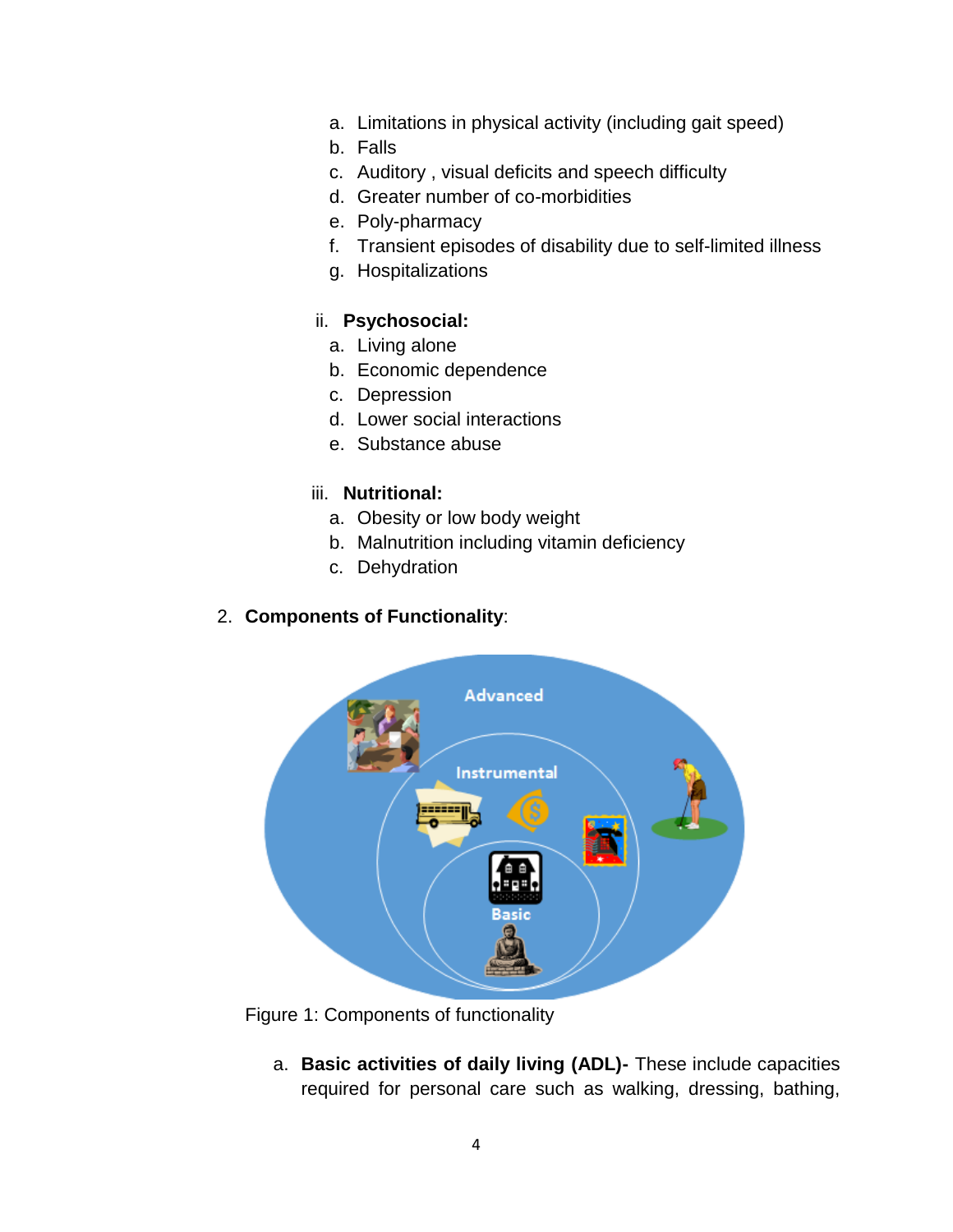- a. Limitations in physical activity (including gait speed)
- b. Falls
- c. Auditory , visual deficits and speech difficulty
- d. Greater number of co-morbidities
- e. Poly-pharmacy
- f. Transient episodes of disability due to self-limited illness
- g. Hospitalizations

#### ii. **Psychosocial:**

- a. Living alone
- b. Economic dependence
- c. Depression
- d. Lower social interactions
- e. Substance abuse

#### iii. **Nutritional:**

- a. Obesity or low body weight
- b. Malnutrition including vitamin deficiency
- c. Dehydration

### 2. **Components of Functionality**:



Figure 1: Components of functionality

a. **Basic activities of daily living (ADL)-** These include capacities required for personal care such as walking, dressing, bathing,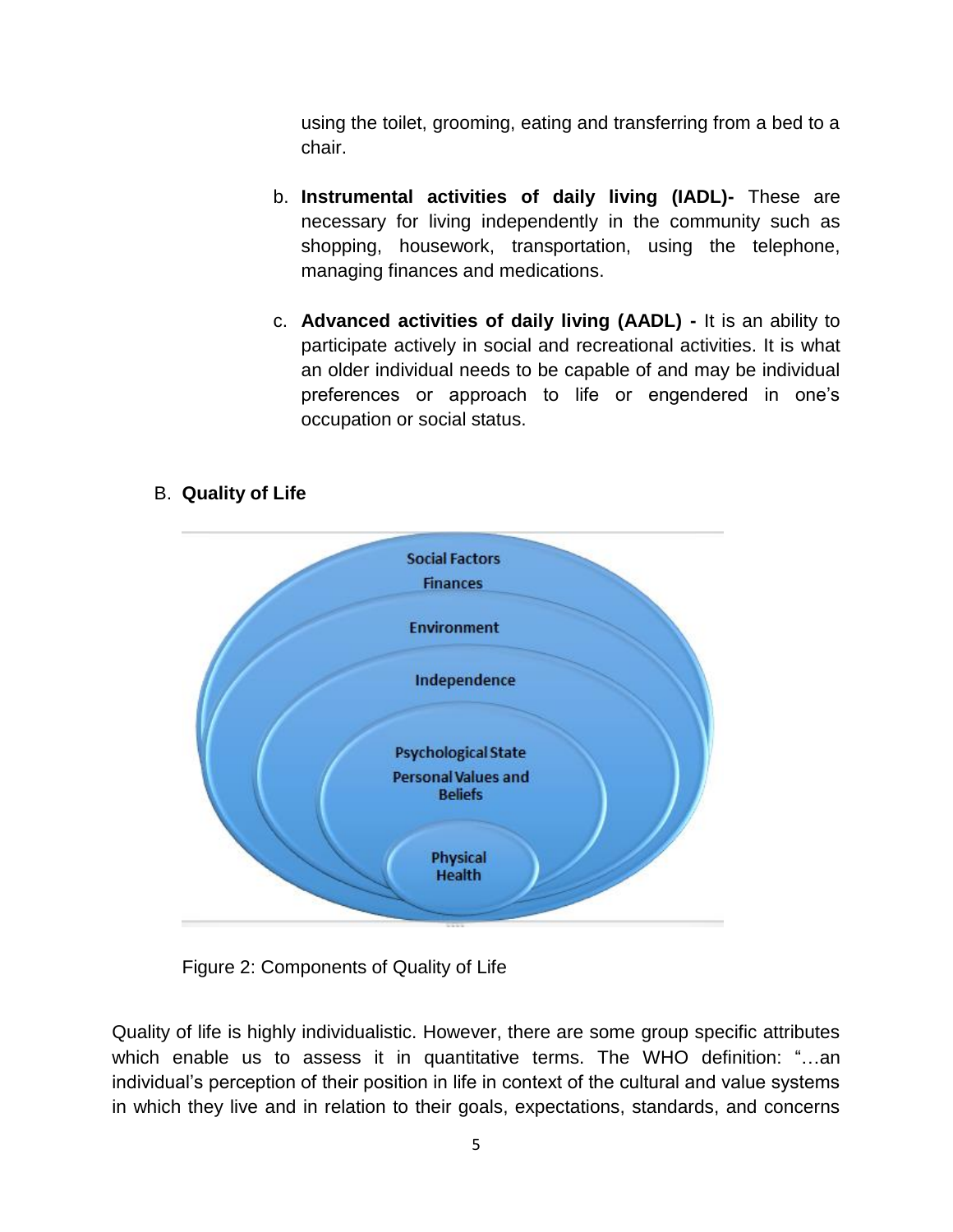using the toilet, grooming, eating and transferring from a bed to a chair.

- b. **Instrumental activities of daily living (IADL)-** These are necessary for living independently in the community such as shopping, housework, transportation, using the telephone, managing finances and medications.
- c. **Advanced activities of daily living (AADL) -** It is an ability to participate actively in social and recreational activities. It is what an older individual needs to be capable of and may be individual preferences or approach to life or engendered in one's occupation or social status.

# B. **Quality of Life**



Figure 2: Components of Quality of Life

Quality of life is highly individualistic. However, there are some group specific attributes which enable us to assess it in quantitative terms. The WHO definition: "…an individual's perception of their position in life in context of the cultural and value systems in which they live and in relation to their goals, expectations, standards, and concerns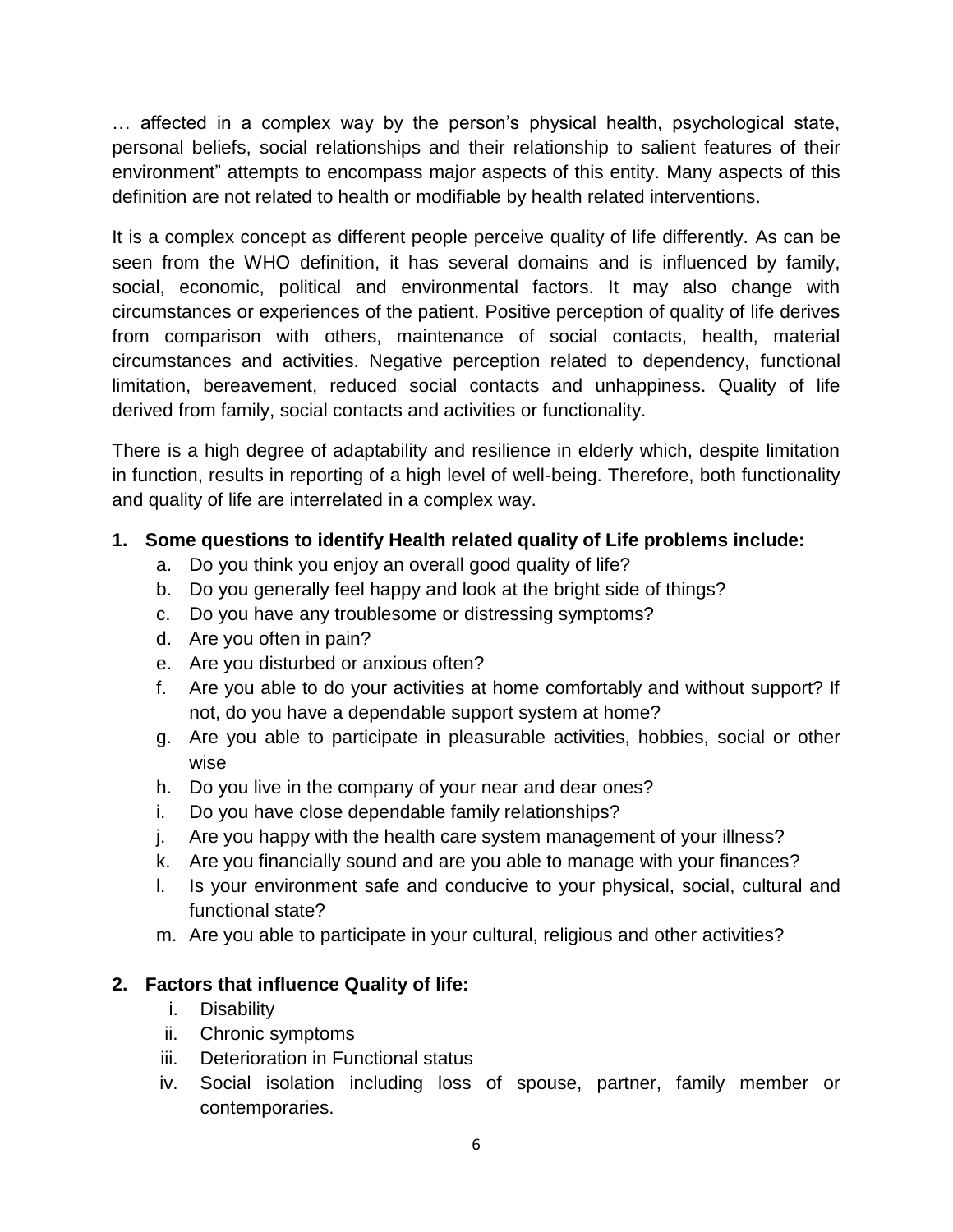… affected in a complex way by the person's physical health, psychological state, personal beliefs, social relationships and their relationship to salient features of their environment" attempts to encompass major aspects of this entity. Many aspects of this definition are not related to health or modifiable by health related interventions.

It is a complex concept as different people perceive quality of life differently. As can be seen from the WHO definition, it has several domains and is influenced by family, social, economic, political and environmental factors. It may also change with circumstances or experiences of the patient. Positive perception of quality of life derives from comparison with others, maintenance of social contacts, health, material circumstances and activities. Negative perception related to dependency, functional limitation, bereavement, reduced social contacts and unhappiness. Quality of life derived from family, social contacts and activities or functionality.

There is a high degree of adaptability and resilience in elderly which, despite limitation in function, results in reporting of a high level of well-being. Therefore, both functionality and quality of life are interrelated in a complex way.

# **1. Some questions to identify Health related quality of Life problems include:**

- a. Do you think you enjoy an overall good quality of life?
- b. Do you generally feel happy and look at the bright side of things?
- c. Do you have any troublesome or distressing symptoms?
- d. Are you often in pain?
- e. Are you disturbed or anxious often?
- f. Are you able to do your activities at home comfortably and without support? If not, do you have a dependable support system at home?
- g. Are you able to participate in pleasurable activities, hobbies, social or other wise
- h. Do you live in the company of your near and dear ones?
- i. Do you have close dependable family relationships?
- j. Are you happy with the health care system management of your illness?
- k. Are you financially sound and are you able to manage with your finances?
- l. Is your environment safe and conducive to your physical, social, cultural and functional state?
- m. Are you able to participate in your cultural, religious and other activities?

# **2. Factors that influence Quality of life:**

- i. Disability
- ii. Chronic symptoms
- iii. Deterioration in Functional status
- iv. Social isolation including loss of spouse, partner, family member or contemporaries.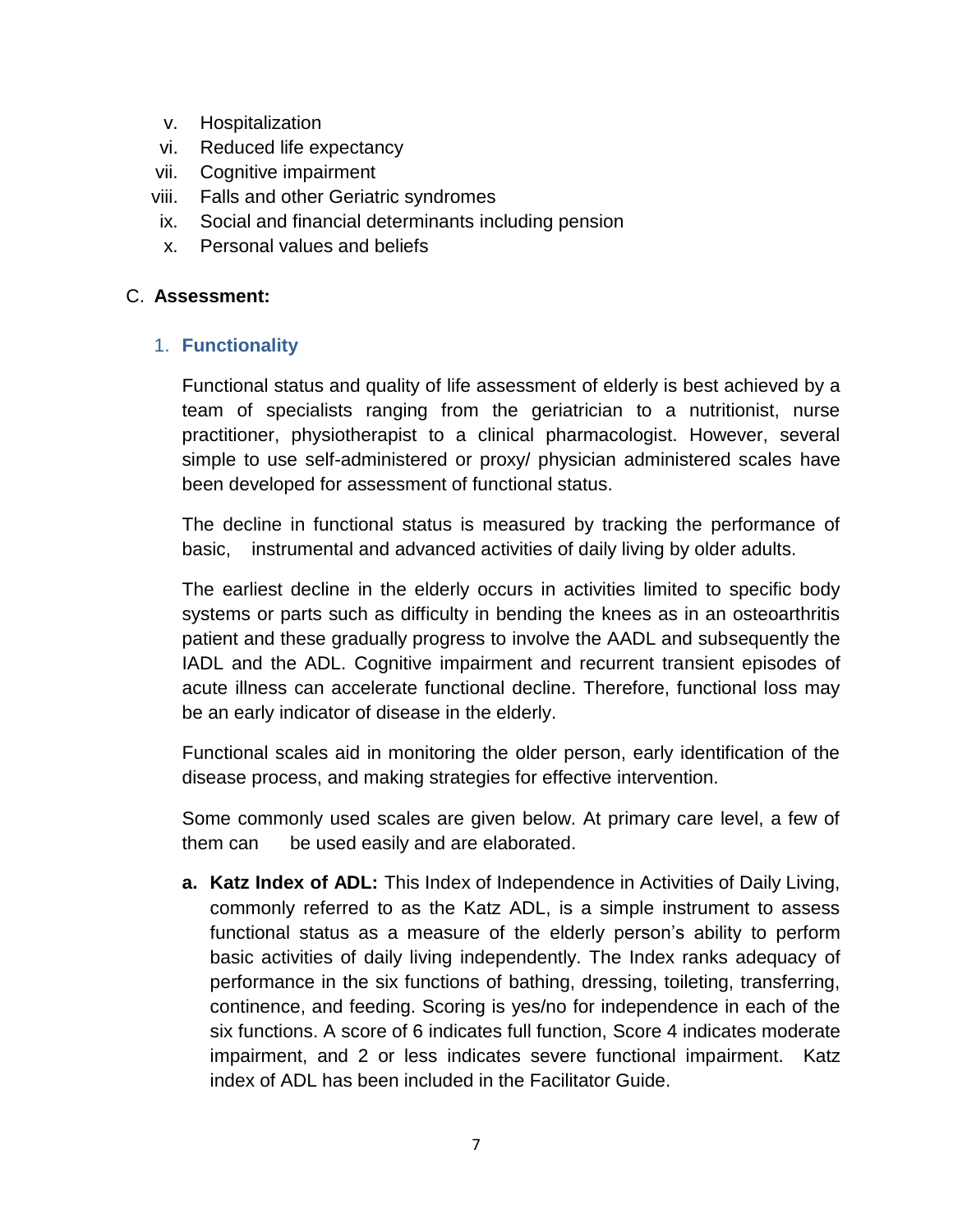- v. Hospitalization
- vi. Reduced life expectancy
- vii. Cognitive impairment
- viii. Falls and other Geriatric syndromes
- ix. Social and financial determinants including pension
- x. Personal values and beliefs

### C. **Assessment:**

### 1. **Functionality**

Functional status and quality of life assessment of elderly is best achieved by a team of specialists ranging from the geriatrician to a nutritionist, nurse practitioner, physiotherapist to a clinical pharmacologist. However, several simple to use self-administered or proxy/ physician administered scales have been developed for assessment of functional status.

The decline in functional status is measured by tracking the performance of basic, instrumental and advanced activities of daily living by older adults.

The earliest decline in the elderly occurs in activities limited to specific body systems or parts such as difficulty in bending the knees as in an osteoarthritis patient and these gradually progress to involve the AADL and subsequently the IADL and the ADL. Cognitive impairment and recurrent transient episodes of acute illness can accelerate functional decline. Therefore, functional loss may be an early indicator of disease in the elderly.

Functional scales aid in monitoring the older person, early identification of the disease process, and making strategies for effective intervention.

Some commonly used scales are given below. At primary care level, a few of them can be used easily and are elaborated.

**a. Katz Index of ADL:** This Index of Independence in Activities of Daily Living, commonly referred to as the Katz ADL, is a simple instrument to assess functional status as a measure of the elderly person's ability to perform basic activities of daily living independently. The Index ranks adequacy of performance in the six functions of bathing, dressing, toileting, transferring, continence, and feeding. Scoring is yes/no for independence in each of the six functions. A score of 6 indicates full function, Score 4 indicates moderate impairment, and 2 or less indicates severe functional impairment. Katz index of ADL has been included in the Facilitator Guide.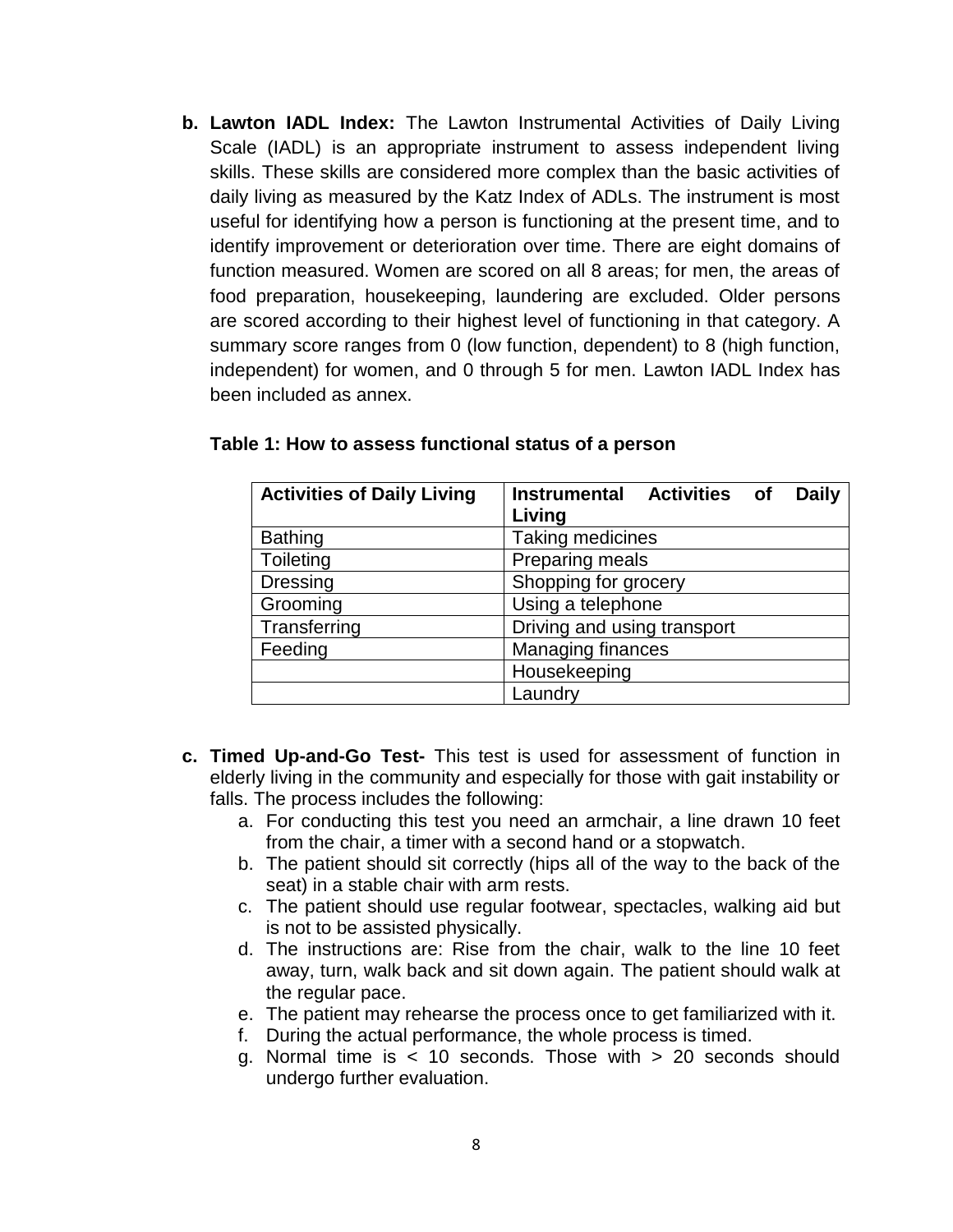**b. Lawton IADL Index:** The Lawton Instrumental Activities of Daily Living Scale (IADL) is an appropriate instrument to assess independent living skills. These skills are considered more complex than the basic activities of daily living as measured by the Katz Index of ADLs. The instrument is most useful for identifying how a person is functioning at the present time, and to identify improvement or deterioration over time. There are eight domains of function measured. Women are scored on all 8 areas; for men, the areas of food preparation, housekeeping, laundering are excluded. Older persons are scored according to their highest level of functioning in that category. A summary score ranges from 0 (low function, dependent) to 8 (high function, independent) for women, and 0 through 5 for men. Lawton IADL Index has been included as annex.

| <b>Activities of Daily Living</b> | Instrumental Activities of<br><b>Daily</b> |
|-----------------------------------|--------------------------------------------|
|                                   | Living                                     |
| <b>Bathing</b>                    | <b>Taking medicines</b>                    |
| Toileting                         | Preparing meals                            |
| Dressing                          | Shopping for grocery                       |
| Grooming                          | Using a telephone                          |
| Transferring                      | Driving and using transport                |
| Feeding                           | <b>Managing finances</b>                   |
|                                   | Housekeeping                               |
|                                   | Laundry                                    |

#### **Table 1: How to assess functional status of a person**

- **c. Timed Up-and-Go Test-** This test is used for assessment of function in elderly living in the community and especially for those with gait instability or falls. The process includes the following:
	- a. For conducting this test you need an armchair, a line drawn 10 feet from the chair, a timer with a second hand or a stopwatch.
	- b. The patient should sit correctly (hips all of the way to the back of the seat) in a stable chair with arm rests.
	- c. The patient should use regular footwear, spectacles, walking aid but is not to be assisted physically.
	- d. The instructions are: Rise from the chair, walk to the line 10 feet away, turn, walk back and sit down again. The patient should walk at the regular pace.
	- e. The patient may rehearse the process once to get familiarized with it.
	- f. During the actual performance, the whole process is timed.
	- g. Normal time is  $<$  10 seconds. Those with  $>$  20 seconds should undergo further evaluation.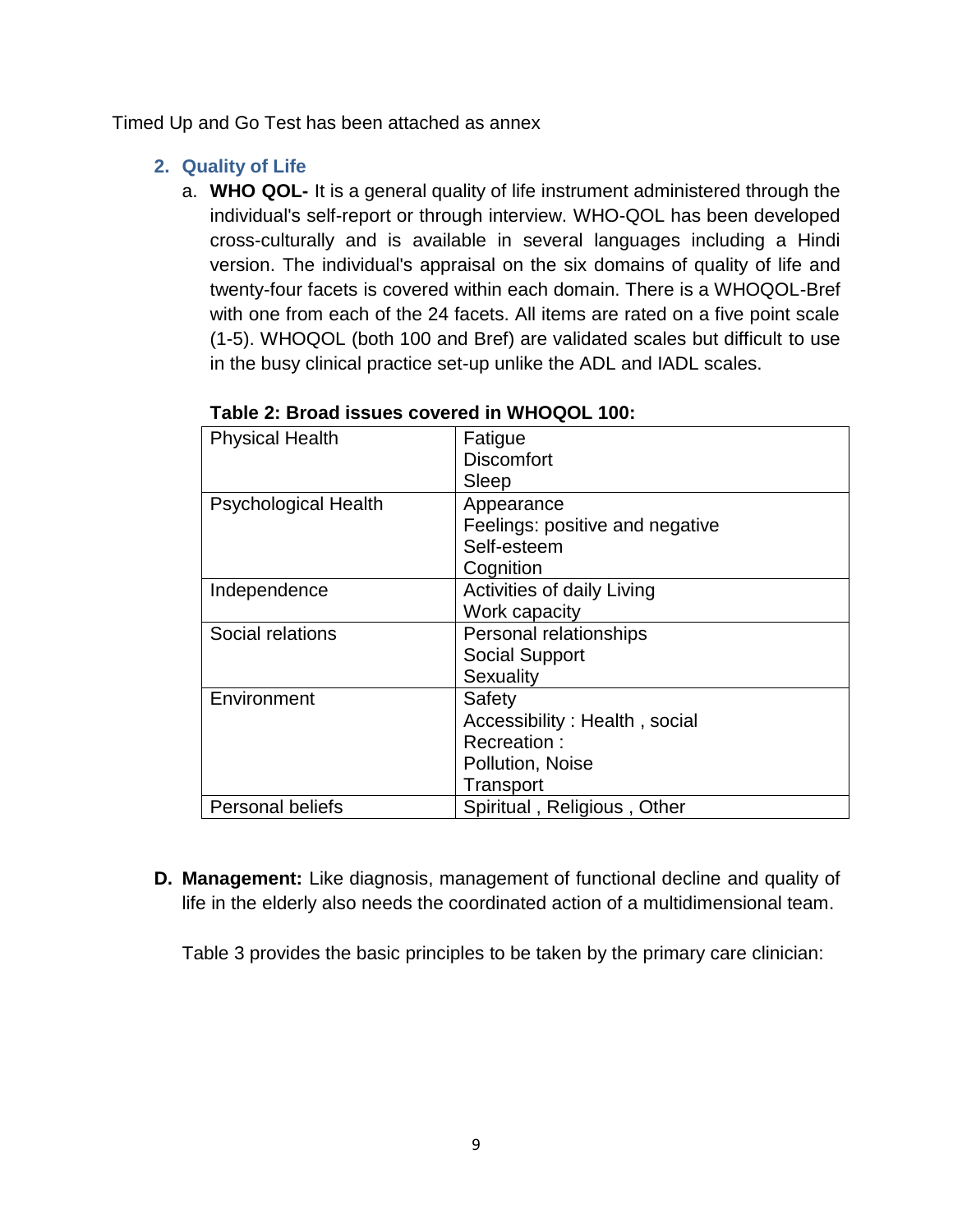Timed Up and Go Test has been attached as annex

# **2. Quality of Life**

a. **WHO QOL-** It is a general quality of life instrument administered through the individual's self-report or through interview. WHO-QOL has been developed cross-culturally and is available in several languages including a Hindi version. The individual's appraisal on the six domains of quality of life and twenty-four facets is covered within each domain. There is a WHOQOL-Bref with one from each of the 24 facets. All items are rated on a five point scale (1-5). WHOQOL (both 100 and Bref) are validated scales but difficult to use in the busy clinical practice set-up unlike the ADL and IADL scales.

| <b>Physical Health</b>      | Fatigue                         |
|-----------------------------|---------------------------------|
|                             | <b>Discomfort</b>               |
|                             | Sleep                           |
| <b>Psychological Health</b> | Appearance                      |
|                             | Feelings: positive and negative |
|                             | Self-esteem                     |
|                             | Cognition                       |
| Independence                | Activities of daily Living      |
|                             | Work capacity                   |
| Social relations            | Personal relationships          |
|                             | <b>Social Support</b>           |
|                             | Sexuality                       |
| Environment                 | Safety                          |
|                             | Accessibility: Health, social   |
|                             | Recreation:                     |
|                             | Pollution, Noise                |
|                             | Transport                       |
| <b>Personal beliefs</b>     | Spiritual, Religious, Other     |

### **Table 2: Broad issues covered in WHOQOL 100:**

**D. Management:** Like diagnosis, management of functional decline and quality of life in the elderly also needs the coordinated action of a multidimensional team.

Table 3 provides the basic principles to be taken by the primary care clinician: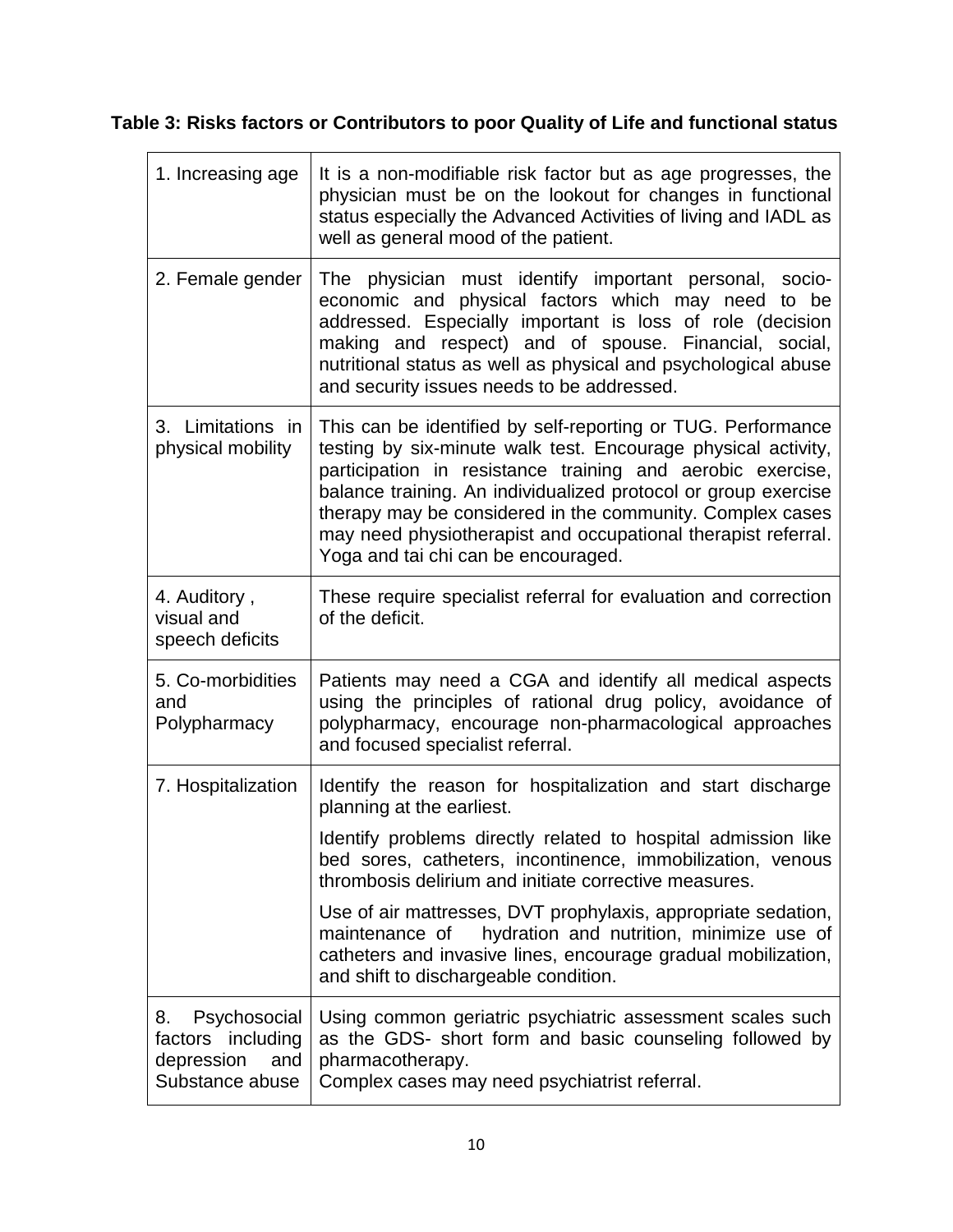# **Table 3: Risks factors or Contributors to poor Quality of Life and functional status**

| 1. Increasing age                                                               | It is a non-modifiable risk factor but as age progresses, the<br>physician must be on the lookout for changes in functional<br>status especially the Advanced Activities of living and IADL as<br>well as general mood of the patient.                                                                                                                                                                                             |
|---------------------------------------------------------------------------------|------------------------------------------------------------------------------------------------------------------------------------------------------------------------------------------------------------------------------------------------------------------------------------------------------------------------------------------------------------------------------------------------------------------------------------|
| 2. Female gender                                                                | The physician must identify important personal, socio-<br>economic and physical factors which may need to be<br>addressed. Especially important is loss of role (decision<br>making and respect) and of spouse. Financial, social,<br>nutritional status as well as physical and psychological abuse<br>and security issues needs to be addressed.                                                                                 |
| 3. Limitations in<br>physical mobility                                          | This can be identified by self-reporting or TUG. Performance<br>testing by six-minute walk test. Encourage physical activity,<br>participation in resistance training and aerobic exercise,<br>balance training. An individualized protocol or group exercise<br>therapy may be considered in the community. Complex cases<br>may need physiotherapist and occupational therapist referral.<br>Yoga and tai chi can be encouraged. |
| 4. Auditory,<br>visual and<br>speech deficits                                   | These require specialist referral for evaluation and correction<br>of the deficit.                                                                                                                                                                                                                                                                                                                                                 |
| 5. Co-morbidities<br>and<br>Polypharmacy                                        | Patients may need a CGA and identify all medical aspects<br>using the principles of rational drug policy, avoidance of<br>polypharmacy, encourage non-pharmacological approaches<br>and focused specialist referral.                                                                                                                                                                                                               |
| 7. Hospitalization                                                              | Identify the reason for hospitalization and start discharge<br>planning at the earliest.                                                                                                                                                                                                                                                                                                                                           |
|                                                                                 | Identify problems directly related to hospital admission like<br>bed sores, catheters, incontinence, immobilization, venous<br>thrombosis delirium and initiate corrective measures.                                                                                                                                                                                                                                               |
|                                                                                 | Use of air mattresses, DVT prophylaxis, appropriate sedation,<br>hydration and nutrition, minimize use of<br>maintenance of<br>catheters and invasive lines, encourage gradual mobilization,<br>and shift to dischargeable condition.                                                                                                                                                                                              |
| Psychosocial<br>8.<br>factors including<br>depression<br>and<br>Substance abuse | Using common geriatric psychiatric assessment scales such<br>as the GDS- short form and basic counseling followed by<br>pharmacotherapy.<br>Complex cases may need psychiatrist referral.                                                                                                                                                                                                                                          |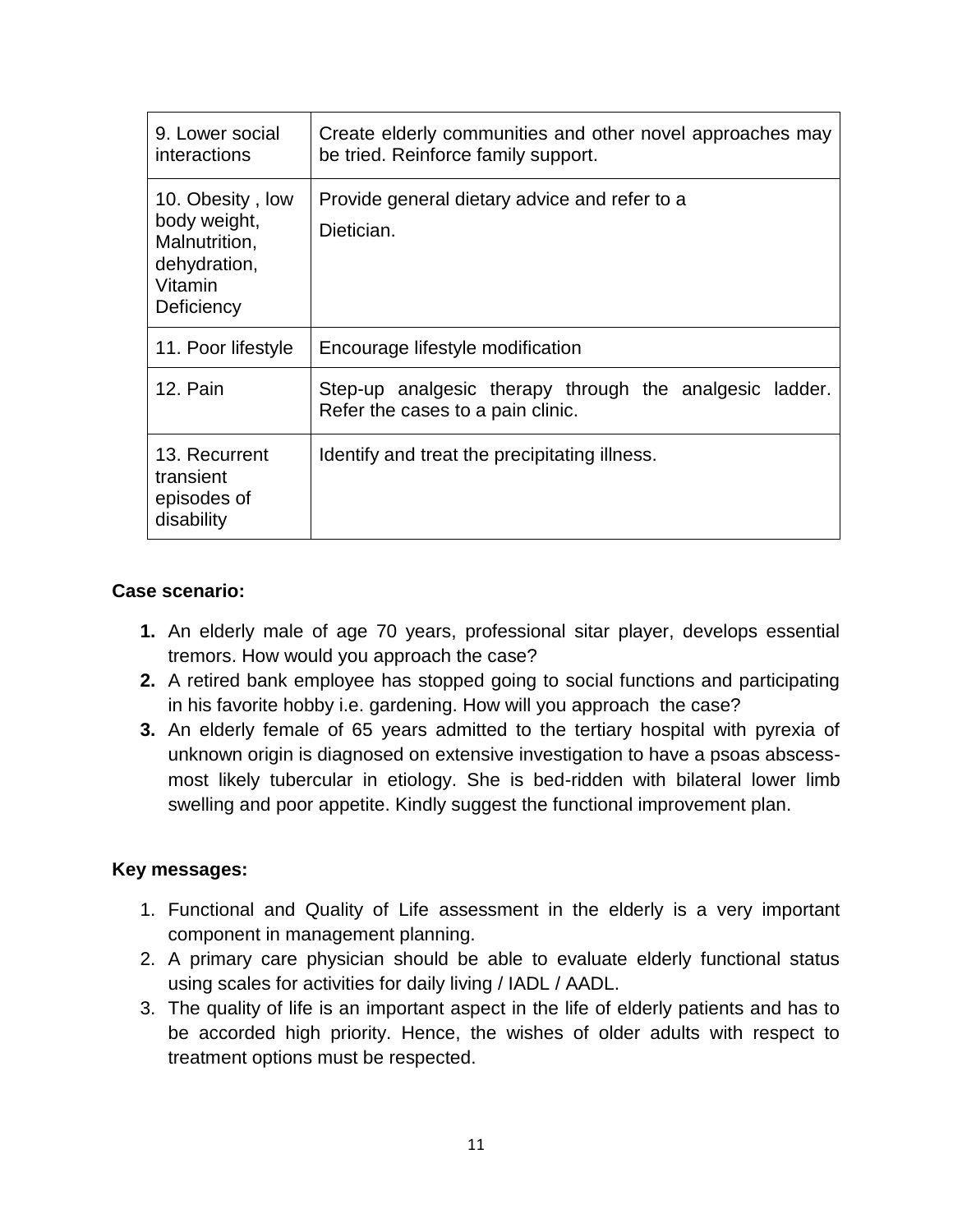| 9. Lower social<br>interactions                                                            | Create elderly communities and other novel approaches may<br>be tried. Reinforce family support. |
|--------------------------------------------------------------------------------------------|--------------------------------------------------------------------------------------------------|
| 10. Obesity, low<br>body weight,<br>Malnutrition,<br>dehydration,<br>Vitamin<br>Deficiency | Provide general dietary advice and refer to a<br>Dietician.                                      |
| 11. Poor lifestyle                                                                         | Encourage lifestyle modification                                                                 |
| 12. Pain                                                                                   | Step-up analgesic therapy through the analgesic ladder.<br>Refer the cases to a pain clinic.     |
| 13. Recurrent<br>transient<br>episodes of<br>disability                                    | Identify and treat the precipitating illness.                                                    |

### **Case scenario:**

- **1.** An elderly male of age 70 years, professional sitar player, develops essential tremors. How would you approach the case?
- **2.** A retired bank employee has stopped going to social functions and participating in his favorite hobby i.e. gardening. How will you approach the case?
- **3.** An elderly female of 65 years admitted to the tertiary hospital with pyrexia of unknown origin is diagnosed on extensive investigation to have a psoas abscessmost likely tubercular in etiology. She is bed-ridden with bilateral lower limb swelling and poor appetite. Kindly suggest the functional improvement plan.

### **Key messages:**

- 1. Functional and Quality of Life assessment in the elderly is a very important component in management planning.
- 2. A primary care physician should be able to evaluate elderly functional status using scales for activities for daily living / IADL / AADL.
- 3. The quality of life is an important aspect in the life of elderly patients and has to be accorded high priority. Hence, the wishes of older adults with respect to treatment options must be respected.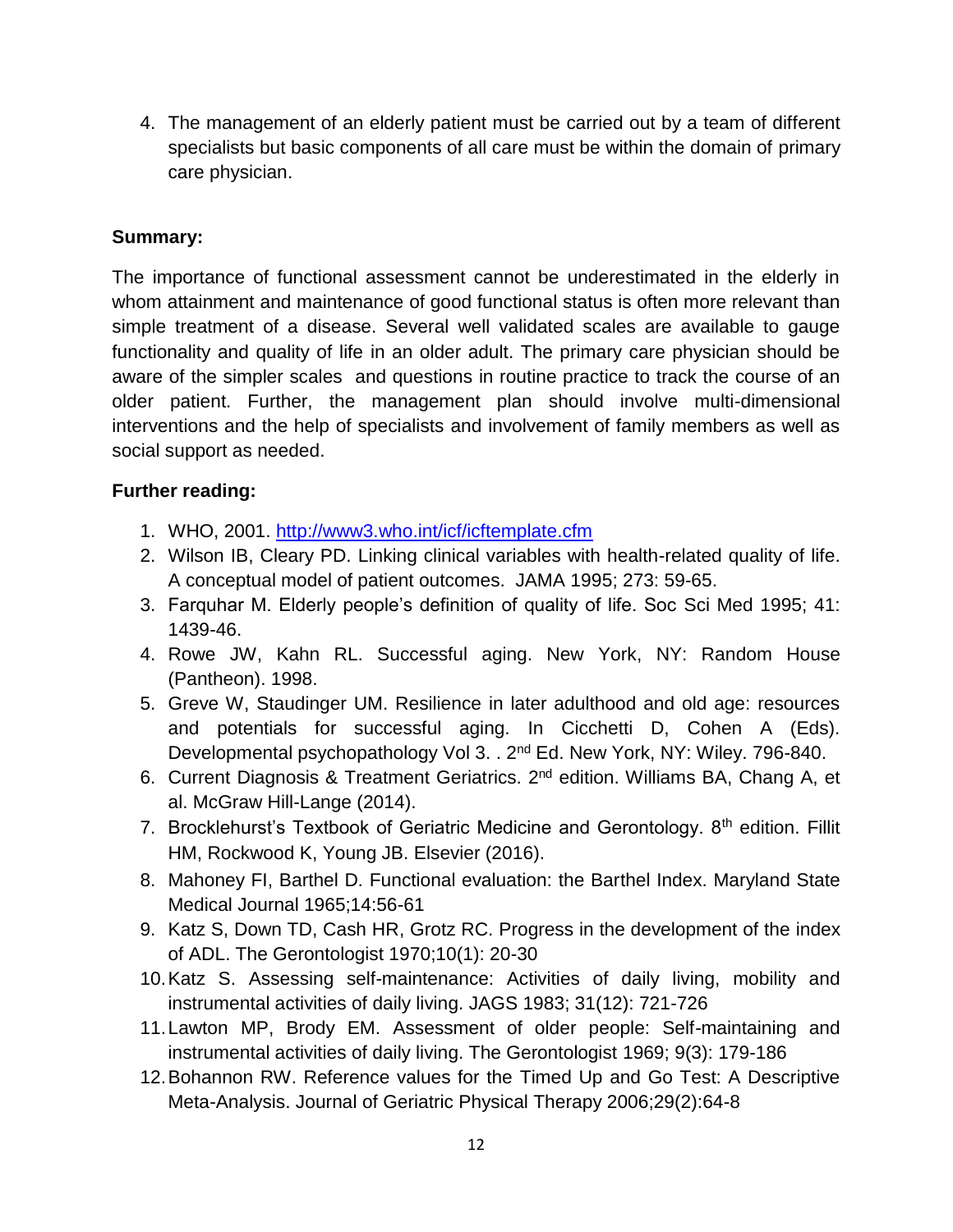4. The management of an elderly patient must be carried out by a team of different specialists but basic components of all care must be within the domain of primary care physician.

### **Summary:**

The importance of functional assessment cannot be underestimated in the elderly in whom attainment and maintenance of good functional status is often more relevant than simple treatment of a disease. Several well validated scales are available to gauge functionality and quality of life in an older adult. The primary care physician should be aware of the simpler scales and questions in routine practice to track the course of an older patient. Further, the management plan should involve multi-dimensional interventions and the help of specialists and involvement of family members as well as social support as needed.

### **Further reading:**

- 1. WHO, 2001.<http://www3.who.int/icf/icftemplate.cfm>
- 2. Wilson IB, Cleary PD. Linking clinical variables with health-related quality of life. A conceptual model of patient outcomes. JAMA 1995; 273: 59-65.
- 3. Farquhar M. Elderly people's definition of quality of life. Soc Sci Med 1995; 41: 1439-46.
- 4. Rowe JW, Kahn RL. Successful aging. New York, NY: Random House (Pantheon). 1998.
- 5. Greve W, Staudinger UM. Resilience in later adulthood and old age: resources and potentials for successful aging. In Cicchetti D, Cohen A (Eds). Developmental psychopathology Vol 3. . 2<sup>nd</sup> Ed. New York, NY: Wiley. 796-840.
- 6. Current Diagnosis & Treatment Geriatrics. 2<sup>nd</sup> edition. Williams BA, Chang A, et al. McGraw Hill-Lange (2014).
- 7. Brocklehurst's Textbook of Geriatric Medicine and Gerontology. 8<sup>th</sup> edition. Fillit HM, Rockwood K, Young JB. Elsevier (2016).
- 8. Mahoney FI, Barthel D. Functional evaluation: the Barthel Index. Maryland State Medical Journal 1965;14:56-61
- 9. Katz S, Down TD, Cash HR, Grotz RC. Progress in the development of the index of ADL. The Gerontologist 1970;10(1): 20-30
- 10.Katz S. Assessing self-maintenance: Activities of daily living, mobility and instrumental activities of daily living. JAGS 1983; 31(12): 721-726
- 11.Lawton MP, Brody EM. Assessment of older people: Self-maintaining and instrumental activities of daily living. The Gerontologist 1969; 9(3): 179-186
- 12.Bohannon RW. Reference values for the Timed Up and Go Test: A Descriptive Meta-Analysis. Journal of Geriatric Physical Therapy 2006;29(2):64-8